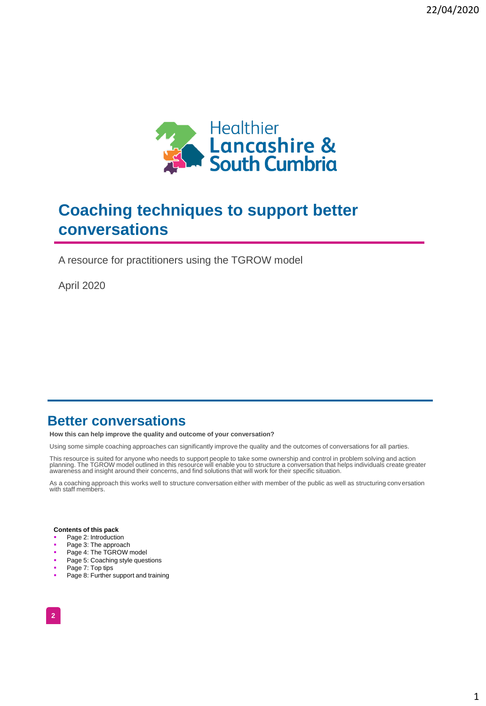

# **Coaching techniques to support better conversations**

A resource for practitioners using the TGROW model

April 2020

### **Better conversations**

**How this can help improve the quality and outcome of your conversation?**

Using some simple coaching approaches can significantly improve the quality and the outcomes of conversations for all parties.

This resource is suited for anyone who needs to support people to take some ownership and control in problem solving and action<br>planning. The TGROW model outlined in this resource will enable you to structure a conversatio

As a coaching approach this works well to structure conversation either with member of the public as well as structuring conversation with staff members.

#### **Contents of this pack**

- Page 2: Introduction
- Page 3: The approach
- Page 4: The TGROW model
- Page 5: Coaching style questions
- Page 7: Top tips
- **Page 8: Further support and training**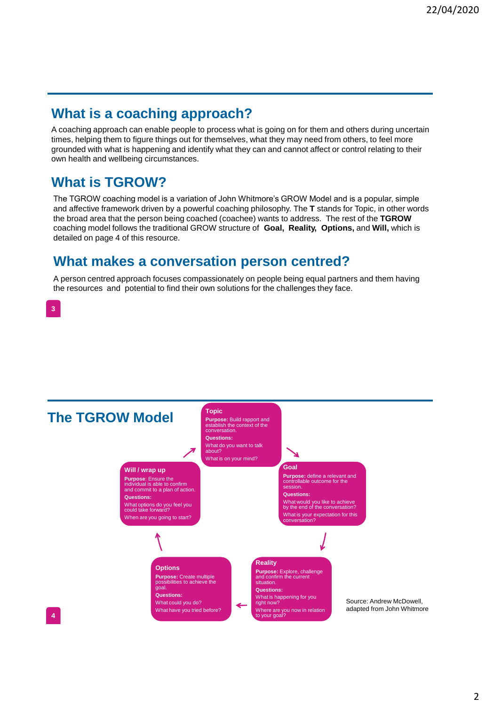# **What is a coaching approach?**

A coaching approach can enable people to process what is going on for them and others during uncertain times, helping them to figure things out for themselves, what they may need from others, to feel more grounded with what is happening and identify what they can and cannot affect or control relating to their own health and wellbeing circumstances.

# **What is TGROW?**

The TGROW coaching model is a variation of John Whitmore's GROW Model and is a popular, simple and affective framework driven by a powerful coaching philosophy. The **T** stands for Topic, in other words the broad area that the person being coached (coachee) wants to address. The rest of the **TGROW** coaching model follows the traditional GROW structure of **Goal, Reality, Options,** and **Will,** which is detailed on page 4 of this resource.

### **What makes a conversation person centred?**

A person centred approach focuses compassionately on people being equal partners and them having the resources and potential to find their own solutions for the challenges they face.



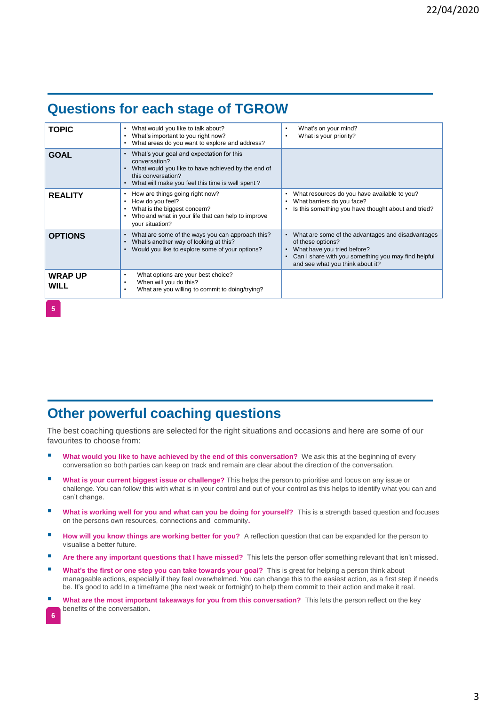# **Questions for each stage of TGROW**

| <b>TOPIC</b>           | What would you like to talk about?<br>$\bullet$<br>What's important to you right now?<br>$\bullet$<br>What areas do you want to explore and address?<br>٠                                  | What's on your mind?<br>٠<br>What is your priority?<br>٠                                                                                                                                         |
|------------------------|--------------------------------------------------------------------------------------------------------------------------------------------------------------------------------------------|--------------------------------------------------------------------------------------------------------------------------------------------------------------------------------------------------|
| <b>GOAL</b>            | What's your goal and expectation for this<br>conversation?<br>What would you like to have achieved by the end of<br>this conversation?<br>What will make you feel this time is well spent? |                                                                                                                                                                                                  |
| <b>REALITY</b>         | How are things going right now?<br>٠<br>How do you feel?<br>What is the biggest concern?<br>Who and what in your life that can help to improve<br>٠<br>your situation?                     | What resources do you have available to you?<br>What barriers do you face?<br>٠<br>Is this something you have thought about and tried?                                                           |
| <b>OPTIONS</b>         | What are some of the ways you can approach this?<br>$\bullet$<br>What's another way of looking at this?<br>Would you like to explore some of your options?<br>$\bullet$                    | What are some of the advantages and disadvantages<br>of these options?<br>What have you tried before?<br>Can I share with you something you may find helpful<br>and see what you think about it? |
| <b>WRAP UP</b><br>WILL | What options are your best choice?<br>٠<br>When will you do this?<br>٠<br>What are you willing to commit to doing/trying?<br>٠                                                             |                                                                                                                                                                                                  |

### **Other powerful coaching questions**

The best coaching questions are selected for the right situations and occasions and here are some of our favourites to choose from:

- **What would you like to have achieved by the end of this conversation?** We ask this at the beginning of every conversation so both parties can keep on track and remain are clear about the direction of the conversation.
- **IN What is your current biggest issue or challenge?** This helps the person to prioritise and focus on any issue or challenge. You can follow this with what is in your control and out of your control as this helps to identify what you can and can't change.
- **■** What is working well for you and what can you be doing for yourself? This is a strength based question and focuses on the persons own resources, connections and community**.**
- **How will you know things are working better for you?** A reflection question that can be expanded for the person to visualise a better future.
- **If all are there any important questions that I have missed?** This lets the person offer something relevant that isn't missed.
- What's the first or one step you can take towards your goal? This is great for helping a person think about manageable actions, especially if they feel overwhelmed. You can change this to the easiest action, as a first step if needs be. It's good to add In a timeframe (the next week or fortnight) to help them commit to their action and make it real.
- **What are the most important takeaways for you from this conversation?** This lets the person reflect on the key benefits of the conversation**.**

**5**